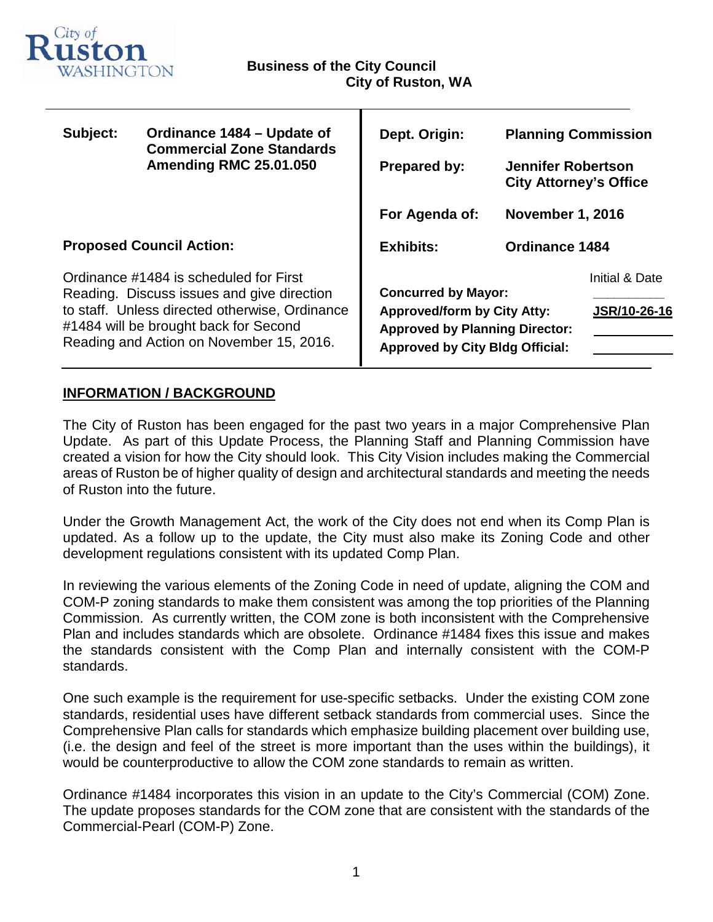

т

| Subject:                                                                                                                                                                                                                    | Ordinance 1484 – Update of<br><b>Commercial Zone Standards</b><br><b>Amending RMC 25.01.050</b> | Dept. Origin:<br><b>Prepared by:</b>                                                                                                                | <b>Planning Commission</b><br><b>Jennifer Robertson</b><br><b>City Attorney's Office</b> |                                |
|-----------------------------------------------------------------------------------------------------------------------------------------------------------------------------------------------------------------------------|-------------------------------------------------------------------------------------------------|-----------------------------------------------------------------------------------------------------------------------------------------------------|------------------------------------------------------------------------------------------|--------------------------------|
|                                                                                                                                                                                                                             |                                                                                                 | For Agenda of:                                                                                                                                      | <b>November 1, 2016</b>                                                                  |                                |
| <b>Proposed Council Action:</b>                                                                                                                                                                                             |                                                                                                 | <b>Exhibits:</b>                                                                                                                                    | <b>Ordinance 1484</b>                                                                    |                                |
| Ordinance #1484 is scheduled for First<br>Reading. Discuss issues and give direction<br>to staff. Unless directed otherwise, Ordinance<br>#1484 will be brought back for Second<br>Reading and Action on November 15, 2016. |                                                                                                 | <b>Concurred by Mayor:</b><br><b>Approved/form by City Atty:</b><br><b>Approved by Planning Director:</b><br><b>Approved by City Bldg Official:</b> |                                                                                          | Initial & Date<br>JSR/10-26-16 |

# **INFORMATION / BACKGROUND**

The City of Ruston has been engaged for the past two years in a major Comprehensive Plan Update. As part of this Update Process, the Planning Staff and Planning Commission have created a vision for how the City should look. This City Vision includes making the Commercial areas of Ruston be of higher quality of design and architectural standards and meeting the needs of Ruston into the future.

Under the Growth Management Act, the work of the City does not end when its Comp Plan is updated. As a follow up to the update, the City must also make its Zoning Code and other development regulations consistent with its updated Comp Plan.

In reviewing the various elements of the Zoning Code in need of update, aligning the COM and COM-P zoning standards to make them consistent was among the top priorities of the Planning Commission. As currently written, the COM zone is both inconsistent with the Comprehensive Plan and includes standards which are obsolete. Ordinance #1484 fixes this issue and makes the standards consistent with the Comp Plan and internally consistent with the COM-P standards.

One such example is the requirement for use-specific setbacks. Under the existing COM zone standards, residential uses have different setback standards from commercial uses. Since the Comprehensive Plan calls for standards which emphasize building placement over building use, (i.e. the design and feel of the street is more important than the uses within the buildings), it would be counterproductive to allow the COM zone standards to remain as written.

Ordinance #1484 incorporates this vision in an update to the City's Commercial (COM) Zone. The update proposes standards for the COM zone that are consistent with the standards of the Commercial-Pearl (COM-P) Zone.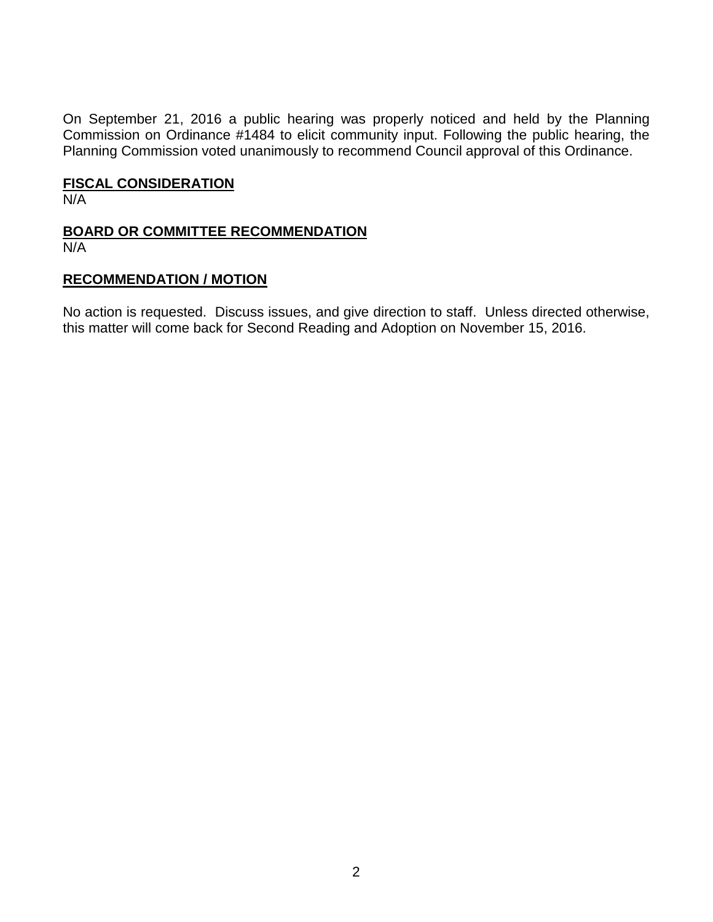On September 21, 2016 a public hearing was properly noticed and held by the Planning Commission on Ordinance #1484 to elicit community input. Following the public hearing, the Planning Commission voted unanimously to recommend Council approval of this Ordinance.

# **FISCAL CONSIDERATION**

N/A

# **BOARD OR COMMITTEE RECOMMENDATION**

N/A

### **RECOMMENDATION / MOTION**

No action is requested. Discuss issues, and give direction to staff. Unless directed otherwise, this matter will come back for Second Reading and Adoption on November 15, 2016.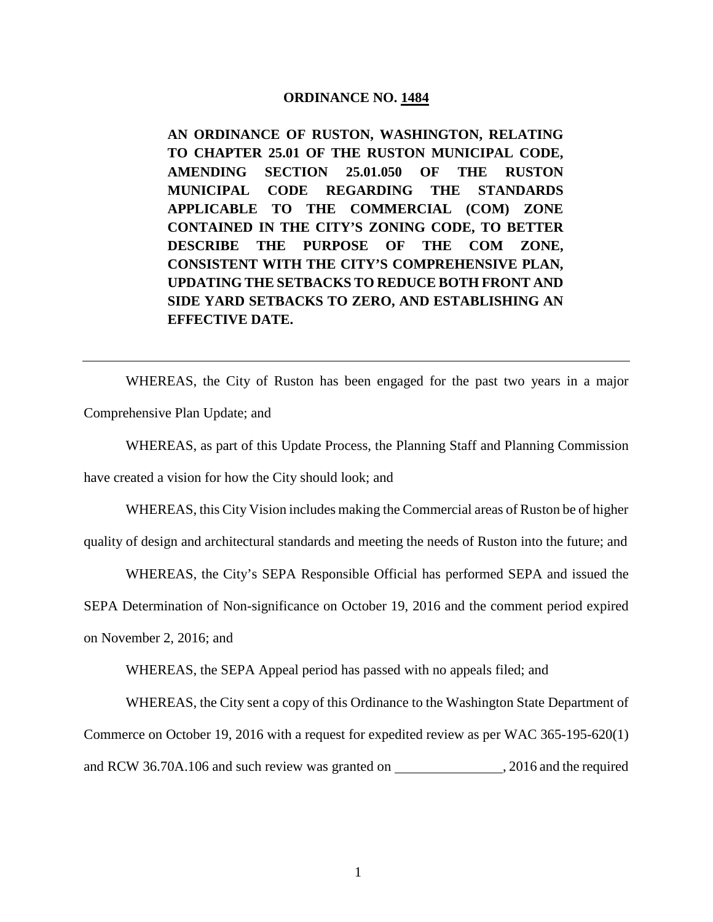#### **ORDINANCE NO. 1484**

**AN ORDINANCE OF RUSTON, WASHINGTON, RELATING TO CHAPTER 25.01 OF THE RUSTON MUNICIPAL CODE, AMENDING SECTION 25.01.050 OF THE RUSTON MUNICIPAL CODE REGARDING THE STANDARDS APPLICABLE TO THE COMMERCIAL (COM) ZONE CONTAINED IN THE CITY'S ZONING CODE, TO BETTER DESCRIBE THE PURPOSE OF THE COM ZONE, CONSISTENT WITH THE CITY'S COMPREHENSIVE PLAN, UPDATING THE SETBACKS TO REDUCE BOTH FRONT AND SIDE YARD SETBACKS TO ZERO, AND ESTABLISHING AN EFFECTIVE DATE.**

WHEREAS, the City of Ruston has been engaged for the past two years in a major Comprehensive Plan Update; and

WHEREAS, as part of this Update Process, the Planning Staff and Planning Commission

have created a vision for how the City should look; and

WHEREAS, this City Vision includes making the Commercial areas of Ruston be of higher

quality of design and architectural standards and meeting the needs of Ruston into the future; and

WHEREAS, the City's SEPA Responsible Official has performed SEPA and issued the

SEPA Determination of Non-significance on October 19, 2016 and the comment period expired

on November 2, 2016; and

WHEREAS, the SEPA Appeal period has passed with no appeals filed; and

WHEREAS, the City sent a copy of this Ordinance to the Washington State Department of Commerce on October 19, 2016 with a request for expedited review as per WAC 365-195-620(1) and RCW 36.70A.106 and such review was granted on , 2016 and the required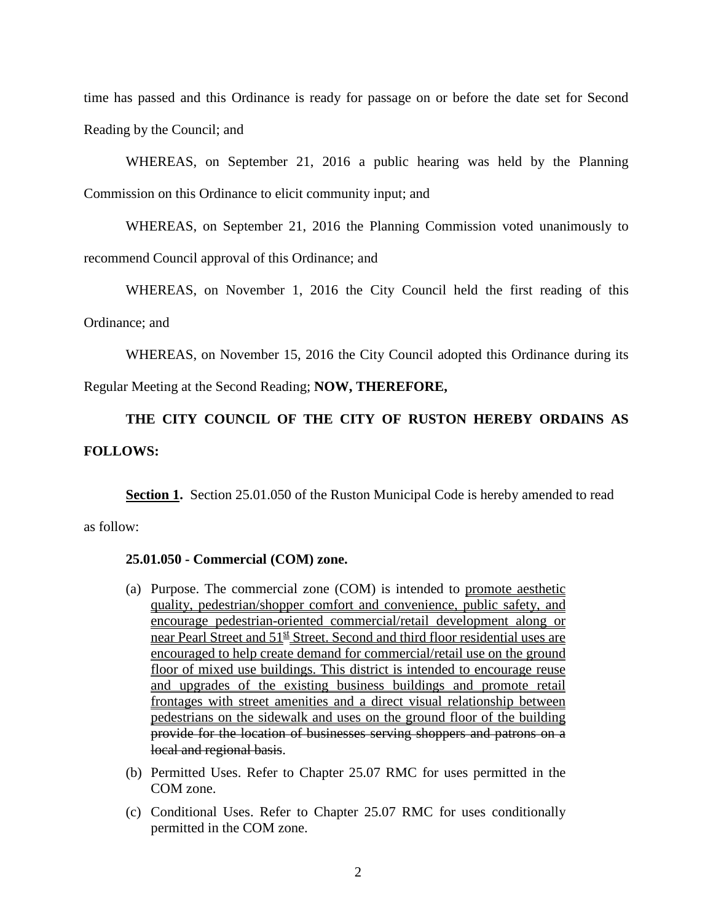time has passed and this Ordinance is ready for passage on or before the date set for Second Reading by the Council; and

WHEREAS, on September 21, 2016 a public hearing was held by the Planning Commission on this Ordinance to elicit community input; and

WHEREAS, on September 21, 2016 the Planning Commission voted unanimously to

recommend Council approval of this Ordinance; and

WHEREAS, on November 1, 2016 the City Council held the first reading of this

#### Ordinance; and

WHEREAS, on November 15, 2016 the City Council adopted this Ordinance during its

Regular Meeting at the Second Reading; **NOW, THEREFORE,**

**THE CITY COUNCIL OF THE CITY OF RUSTON HEREBY ORDAINS AS FOLLOWS:** 

**Section 1.** Section 25.01.050 of the Ruston Municipal Code is hereby amended to read as follow:

### **25.01.050 - Commercial (COM) zone.**

- (a) Purpose. The commercial zone (COM) is intended to promote aesthetic quality, pedestrian/shopper comfort and convenience, public safety, and encourage pedestrian-oriented commercial/retail development along or near Pearl Street and  $51<sup>st</sup>$  Street. Second and third floor residential uses are encouraged to help create demand for commercial/retail use on the ground floor of mixed use buildings. This district is intended to encourage reuse and upgrades of the existing business buildings and promote retail frontages with street amenities and a direct visual relationship between pedestrians on the sidewalk and uses on the ground floor of the building provide for the location of businesses serving shoppers and patrons on a local and regional basis.
- (b) Permitted Uses. Refer to Chapter 25.07 RMC for uses permitted in the COM zone.
- (c) Conditional Uses. Refer to Chapter 25.07 RMC for uses conditionally permitted in the COM zone.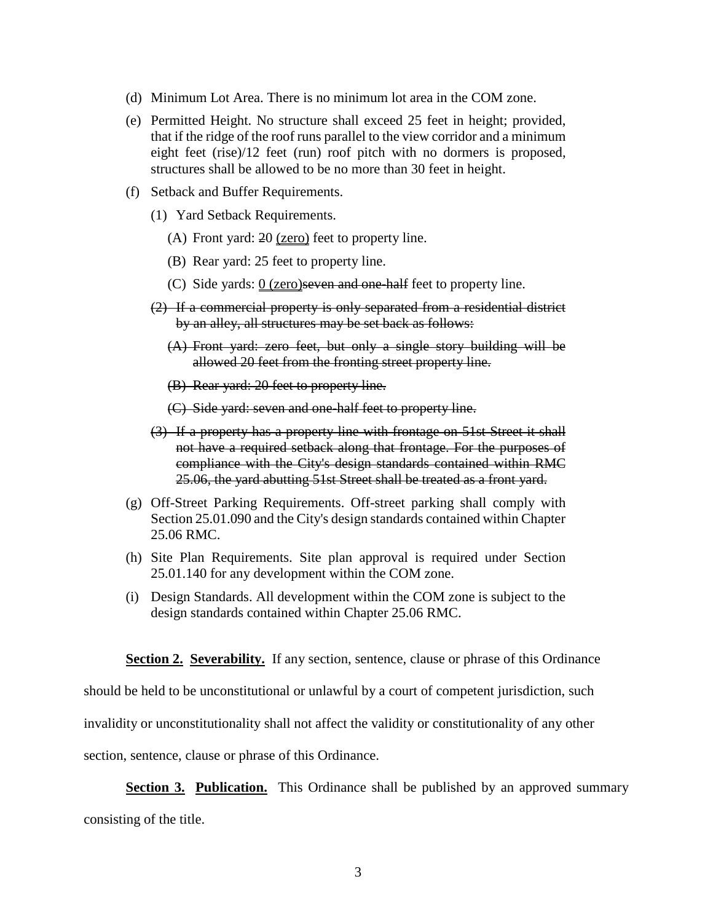- (d) Minimum Lot Area. There is no minimum lot area in the COM zone.
- (e) Permitted Height. No structure shall exceed 25 feet in height; provided, that if the ridge of the roof runs parallel to the view corridor and a minimum eight feet (rise)/12 feet (run) roof pitch with no dormers is proposed, structures shall be allowed to be no more than 30 feet in height.
- (f) Setback and Buffer Requirements.
	- (1) Yard Setback Requirements.
		- (A) Front yard: 20 (zero) feet to property line.
		- (B) Rear yard: 25 feet to property line.
		- (C) Side yards:  $0$  (zero) seven and one-half feet to property line.
	- (2) If a commercial property is only separated from a residential district by an alley, all structures may be set back as follows:
		- (A) Front yard: zero feet, but only a single story building will be allowed 20 feet from the fronting street property line.
		- (B) Rear yard: 20 feet to property line.
		- (C) Side yard: seven and one-half feet to property line.
	- (3) If a property has a property line with frontage on 51st Street it shall not have a required setback along that frontage. For the purposes of compliance with the City's design standards contained within RMC 25.06, the yard abutting 51st Street shall be treated as a front yard.
- (g) Off-Street Parking Requirements. Off-street parking shall comply with Section 25.01.090 and the City's design standards contained within Chapter 25.06 RMC.
- (h) Site Plan Requirements. Site plan approval is required under Section 25.01.140 for any development within the COM zone.
- (i) Design Standards. All development within the COM zone is subject to the design standards contained within Chapter 25.06 RMC.

**Section 2. Severability.** If any section, sentence, clause or phrase of this Ordinance

should be held to be unconstitutional or unlawful by a court of competent jurisdiction, such

invalidity or unconstitutionality shall not affect the validity or constitutionality of any other

section, sentence, clause or phrase of this Ordinance.

**Section 3. Publication.** This Ordinance shall be published by an approved summary

consisting of the title.